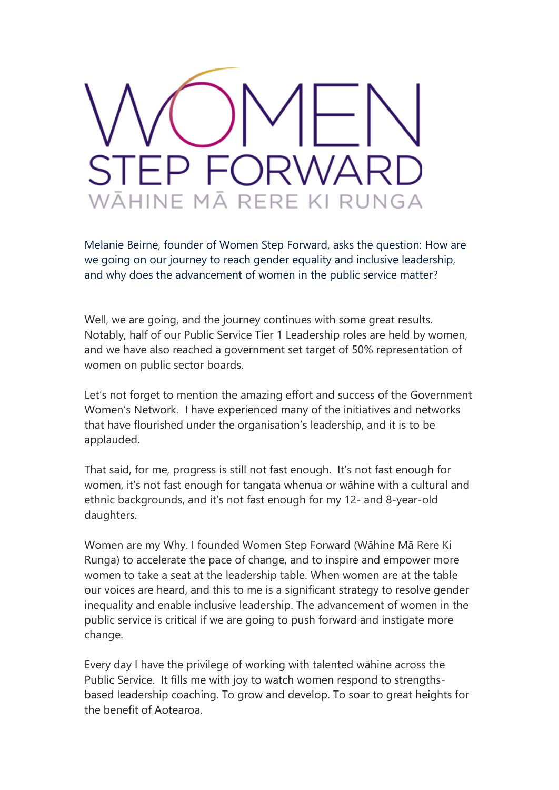

Melanie Beirne, founder of Women Step Forward, asks the question: How are we going on our journey to reach gender equality and inclusive leadership, and why does the advancement of women in the public service matter?

Well, we are going, and the journey continues with some great results. Notably, half of our Public Service Tier 1 Leadership roles are held by women, and we have also reached a government set target of 50% representation of women on public sector boards.

Let's not forget to mention the amazing effort and success of the Government Women's Network. I have experienced many of the initiatives and networks that have flourished under the organisation's leadership, and it is to be applauded.

That said, for me, progress is still not fast enough. It's not fast enough for women, it's not fast enough for tangata whenua or wāhine with a cultural and ethnic backgrounds, and it's not fast enough for my 12- and 8-year-old daughters.

Women are my Why. I founded Women Step Forward (Wāhine Mā Rere Ki Runga) to accelerate the pace of change, and to inspire and empower more women to take a seat at the leadership table. When women are at the table our voices are heard, and this to me is a significant strategy to resolve gender inequality and enable inclusive leadership. The advancement of women in the public service is critical if we are going to push forward and instigate more change.

Every day I have the privilege of working with talented wāhine across the Public Service. It fills me with joy to watch women respond to strengthsbased leadership coaching. To grow and develop. To soar to great heights for the benefit of Aotearoa.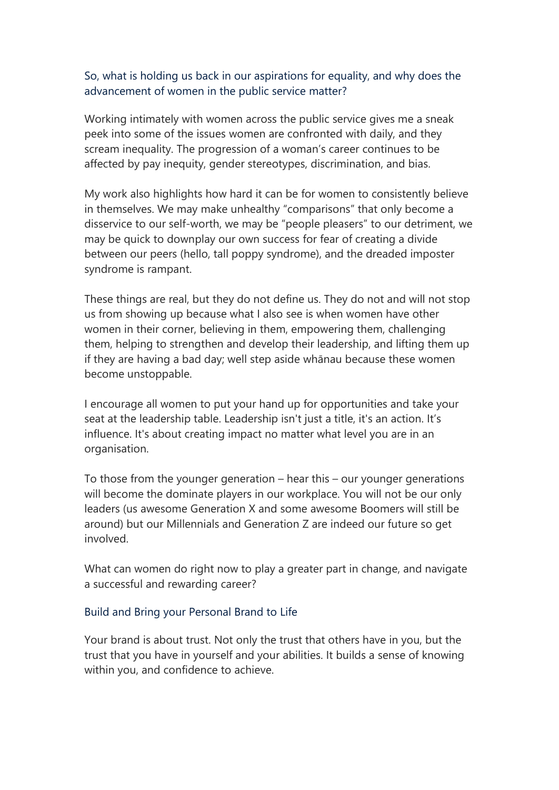## So, what is holding us back in our aspirations for equality, and why does the advancement of women in the public service matter?

Working intimately with women across the public service gives me a sneak peek into some of the issues women are confronted with daily, and they scream inequality. The progression of a woman's career continues to be affected by pay inequity, gender stereotypes, discrimination, and bias.

My work also highlights how hard it can be for women to consistently believe in themselves. We may make unhealthy "comparisons" that only become a disservice to our self-worth, we may be "people pleasers" to our detriment, we may be quick to downplay our own success for fear of creating a divide between our peers (hello, tall poppy syndrome), and the dreaded imposter syndrome is rampant.

These things are real, but they do not define us. They do not and will not stop us from showing up because what I also see is when women have other women in their corner, believing in them, empowering them, challenging them, helping to strengthen and develop their leadership, and lifting them up if they are having a bad day; well step aside whānau because these women become unstoppable.

I encourage all women to put your hand up for opportunities and take your seat at the leadership table. Leadership isn't just a title, it's an action. It's influence. It's about creating impact no matter what level you are in an organisation.

To those from the younger generation – hear this – our younger generations will become the dominate players in our workplace. You will not be our only leaders (us awesome Generation X and some awesome Boomers will still be around) but our Millennials and Generation Z are indeed our future so get involved.

What can women do right now to play a greater part in change, and navigate a successful and rewarding career?

## Build and Bring your Personal Brand to Life

Your brand is about trust. Not only the trust that others have in you, but the trust that you have in yourself and your abilities. It builds a sense of knowing within you, and confidence to achieve.